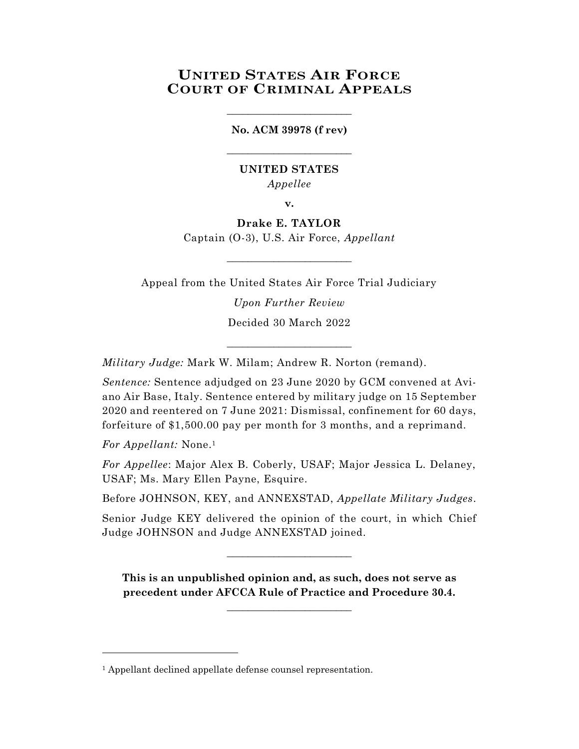# **UNITED STATES AIR FORCE COURT OF CRIMINAL APPEALS**

#### **No. ACM 39978 (f rev)**

\_\_\_\_\_\_\_\_\_\_\_\_\_\_\_\_\_\_\_\_\_\_\_\_

\_\_\_\_\_\_\_\_\_\_\_\_\_\_\_\_\_\_\_\_\_\_\_\_

# **UNITED STATES** *Appellee*

**v.**

**Drake E. TAYLOR** Captain (O-3), U.S. Air Force, *Appellant*

\_\_\_\_\_\_\_\_\_\_\_\_\_\_\_\_\_\_\_\_\_\_\_\_

Appeal from the United States Air Force Trial Judiciary *Upon Further Review* Decided 30 March 2022

\_\_\_\_\_\_\_\_\_\_\_\_\_\_\_\_\_\_\_\_\_\_\_\_

*Military Judge:* Mark W. Milam; Andrew R. Norton (remand).

*Sentence:* Sentence adjudged on 23 June 2020 by GCM convened at Aviano Air Base, Italy. Sentence entered by military judge on 15 September 2020 and reentered on 7 June 2021: Dismissal, confinement for 60 days, forfeiture of \$1,500.00 pay per month for 3 months, and a reprimand.

*For Appellant:* None. 1

l

*For Appellee*: Major Alex B. Coberly, USAF; Major Jessica L. Delaney, USAF; Ms. Mary Ellen Payne, Esquire.

Before JOHNSON, KEY, and ANNEXSTAD, *Appellate Military Judges*.

Senior Judge KEY delivered the opinion of the court, in which Chief Judge JOHNSON and Judge ANNEXSTAD joined.

 $\_$ 

**This is an unpublished opinion and, as such, does not serve as precedent under AFCCA Rule of Practice and Procedure 30.4.** 

**\_\_\_\_\_\_\_\_\_\_\_\_\_\_\_\_\_\_\_\_\_\_\_\_**

<sup>&</sup>lt;sup>1</sup> Appellant declined appellate defense counsel representation.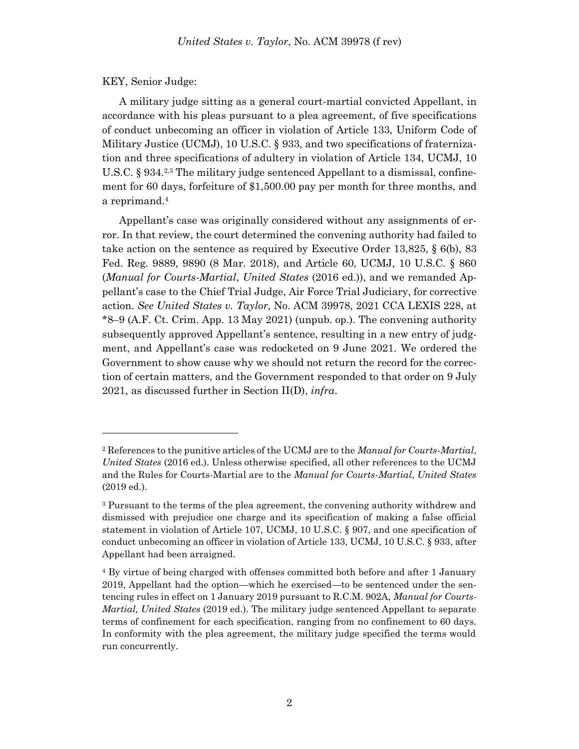#### KEY, Senior Judge:

l

A military judge sitting as a general court-martial convicted Appellant, in accordance with his pleas pursuant to a plea agreement, of five specifications of conduct unbecoming an officer in violation of Article 133, Uniform Code of Military Justice (UCMJ), 10 U.S.C. § 933, and two specifications of fraternization and three specifications of adultery in violation of Article 134, UCMJ, 10 U.S.C. § 934.<sup>2,3</sup> The military judge sentenced Appellant to a dismissal, confinement for 60 days, forfeiture of \$1,500.00 pay per month for three months, and a reprimand. 4

Appellant's case was originally considered without any assignments of error. In that review, the court determined the convening authority had failed to take action on the sentence as required by Executive Order 13,825, § 6(b), 83 Fed. Reg. 9889, 9890 (8 Mar. 2018), and Article 60, UCMJ, 10 U.S.C. § 860 (*Manual for Courts-Martial*, *United States* (2016 ed.)), and we remanded Appellant's case to the Chief Trial Judge, Air Force Trial Judiciary, for corrective action. *See United States v. Taylor*, No. ACM 39978, 2021 CCA LEXIS 228, at \*8–9 (A.F. Ct. Crim. App. 13 May 2021) (unpub. op.). The convening authority subsequently approved Appellant's sentence, resulting in a new entry of judgment, and Appellant's case was redocketed on 9 June 2021. We ordered the Government to show cause why we should not return the record for the correction of certain matters, and the Government responded to that order on 9 July 2021, as discussed further in Section II(D), *infra*.

<sup>2</sup> References to the punitive articles of the UCMJ are to the *Manual for Courts-Martial*, *United States* (2016 ed.). Unless otherwise specified, all other references to the UCMJ and the Rules for Courts-Martial are to the *Manual for Courts-Martial*, *United States* (2019 ed.).

<sup>3</sup> Pursuant to the terms of the plea agreement, the convening authority withdrew and dismissed with prejudice one charge and its specification of making a false official statement in violation of Article 107, UCMJ, 10 U.S.C. § 907, and one specification of conduct unbecoming an officer in violation of Article 133, UCMJ, 10 U.S.C. § 933, after Appellant had been arraigned.

<sup>4</sup> By virtue of being charged with offenses committed both before and after 1 January 2019, Appellant had the option—which he exercised—to be sentenced under the sentencing rules in effect on 1 January 2019 pursuant to R.C.M. 902A, *Manual for Courts-Martial, United States* (2019 ed.). The military judge sentenced Appellant to separate terms of confinement for each specification, ranging from no confinement to 60 days. In conformity with the plea agreement, the military judge specified the terms would run concurrently.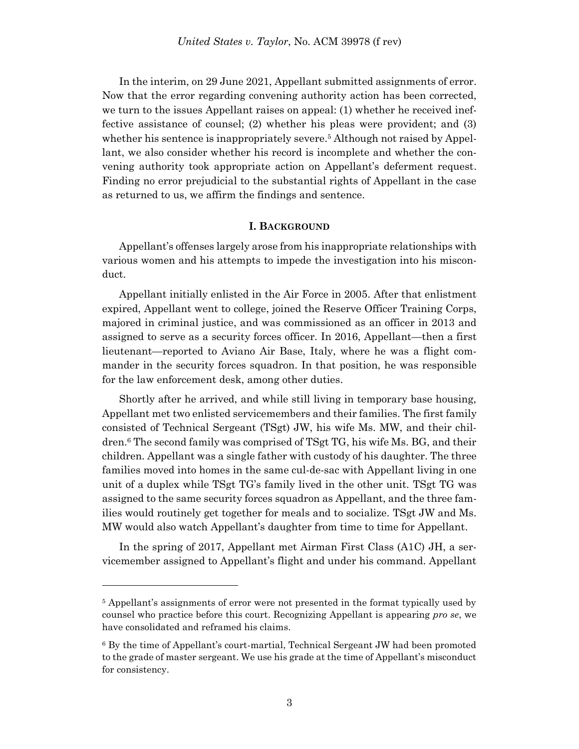In the interim, on 29 June 2021, Appellant submitted assignments of error. Now that the error regarding convening authority action has been corrected, we turn to the issues Appellant raises on appeal: (1) whether he received ineffective assistance of counsel; (2) whether his pleas were provident; and (3) whether his sentence is inappropriately severe. <sup>5</sup> Although not raised by Appellant, we also consider whether his record is incomplete and whether the convening authority took appropriate action on Appellant's deferment request. Finding no error prejudicial to the substantial rights of Appellant in the case as returned to us, we affirm the findings and sentence.

#### **I. BACKGROUND**

Appellant's offenses largely arose from his inappropriate relationships with various women and his attempts to impede the investigation into his misconduct.

Appellant initially enlisted in the Air Force in 2005. After that enlistment expired, Appellant went to college, joined the Reserve Officer Training Corps, majored in criminal justice, and was commissioned as an officer in 2013 and assigned to serve as a security forces officer. In 2016, Appellant—then a first lieutenant—reported to Aviano Air Base, Italy, where he was a flight commander in the security forces squadron. In that position, he was responsible for the law enforcement desk, among other duties.

Shortly after he arrived, and while still living in temporary base housing, Appellant met two enlisted servicemembers and their families. The first family consisted of Technical Sergeant (TSgt) JW, his wife Ms. MW, and their children.<sup>6</sup> The second family was comprised of TSgt TG, his wife Ms. BG, and their children. Appellant was a single father with custody of his daughter. The three families moved into homes in the same cul-de-sac with Appellant living in one unit of a duplex while TSgt TG's family lived in the other unit. TSgt TG was assigned to the same security forces squadron as Appellant, and the three families would routinely get together for meals and to socialize. TSgt JW and Ms. MW would also watch Appellant's daughter from time to time for Appellant.

In the spring of 2017, Appellant met Airman First Class (A1C) JH, a servicemember assigned to Appellant's flight and under his command. Appellant

<sup>5</sup> Appellant's assignments of error were not presented in the format typically used by counsel who practice before this court. Recognizing Appellant is appearing *pro se*, we have consolidated and reframed his claims.

<sup>6</sup> By the time of Appellant's court-martial, Technical Sergeant JW had been promoted to the grade of master sergeant. We use his grade at the time of Appellant's misconduct for consistency.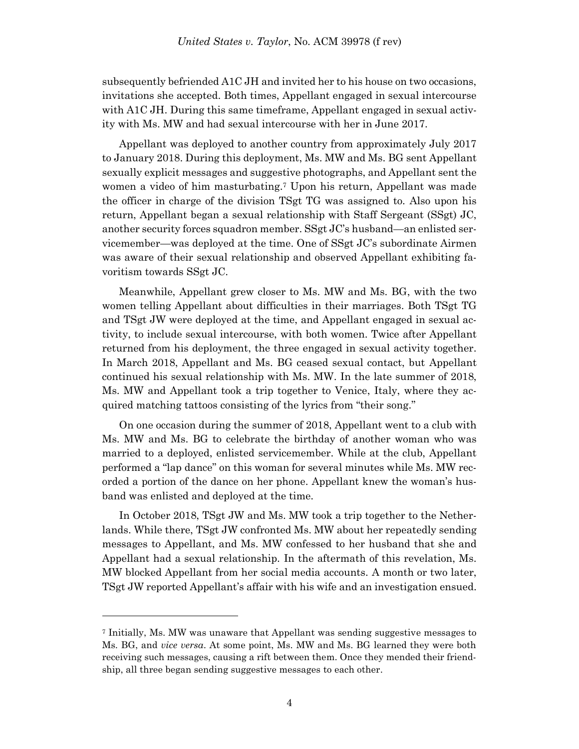subsequently befriended A1C JH and invited her to his house on two occasions, invitations she accepted. Both times, Appellant engaged in sexual intercourse with A1C JH. During this same timeframe, Appellant engaged in sexual activity with Ms. MW and had sexual intercourse with her in June 2017.

Appellant was deployed to another country from approximately July 2017 to January 2018. During this deployment, Ms. MW and Ms. BG sent Appellant sexually explicit messages and suggestive photographs, and Appellant sent the women a video of him masturbating.<sup>7</sup> Upon his return, Appellant was made the officer in charge of the division TSgt TG was assigned to. Also upon his return, Appellant began a sexual relationship with Staff Sergeant (SSgt) JC, another security forces squadron member. SSgt JC's husband—an enlisted servicemember—was deployed at the time. One of SSgt JC's subordinate Airmen was aware of their sexual relationship and observed Appellant exhibiting favoritism towards SSgt JC.

Meanwhile, Appellant grew closer to Ms. MW and Ms. BG, with the two women telling Appellant about difficulties in their marriages. Both TSgt TG and TSgt JW were deployed at the time, and Appellant engaged in sexual activity, to include sexual intercourse, with both women. Twice after Appellant returned from his deployment, the three engaged in sexual activity together. In March 2018, Appellant and Ms. BG ceased sexual contact, but Appellant continued his sexual relationship with Ms. MW. In the late summer of 2018, Ms. MW and Appellant took a trip together to Venice, Italy, where they acquired matching tattoos consisting of the lyrics from "their song."

On one occasion during the summer of 2018, Appellant went to a club with Ms. MW and Ms. BG to celebrate the birthday of another woman who was married to a deployed, enlisted servicemember. While at the club, Appellant performed a "lap dance" on this woman for several minutes while Ms. MW recorded a portion of the dance on her phone. Appellant knew the woman's husband was enlisted and deployed at the time.

In October 2018, TSgt JW and Ms. MW took a trip together to the Netherlands. While there, TSgt JW confronted Ms. MW about her repeatedly sending messages to Appellant, and Ms. MW confessed to her husband that she and Appellant had a sexual relationship. In the aftermath of this revelation, Ms. MW blocked Appellant from her social media accounts. A month or two later, TSgt JW reported Appellant's affair with his wife and an investigation ensued.

<sup>7</sup> Initially, Ms. MW was unaware that Appellant was sending suggestive messages to Ms. BG, and *vice versa*. At some point, Ms. MW and Ms. BG learned they were both receiving such messages, causing a rift between them. Once they mended their friendship, all three began sending suggestive messages to each other.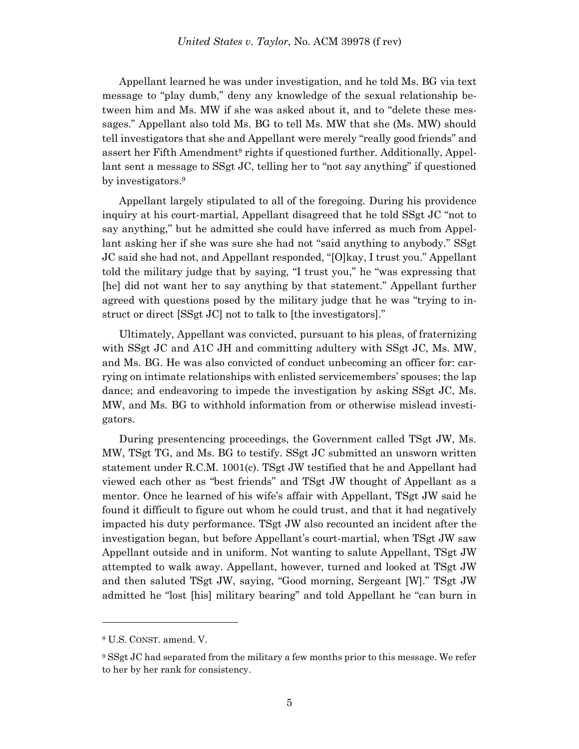Appellant learned he was under investigation, and he told Ms. BG via text message to "play dumb," deny any knowledge of the sexual relationship between him and Ms. MW if she was asked about it, and to "delete these messages." Appellant also told Ms. BG to tell Ms. MW that she (Ms. MW) should tell investigators that she and Appellant were merely "really good friends" and assert her Fifth Amendment<sup>8</sup> rights if questioned further. Additionally, Appellant sent a message to SSgt JC, telling her to "not say anything" if questioned by investigators.<sup>9</sup>

Appellant largely stipulated to all of the foregoing. During his providence inquiry at his court-martial, Appellant disagreed that he told SSgt JC "not to say anything," but he admitted she could have inferred as much from Appellant asking her if she was sure she had not "said anything to anybody." SSgt JC said she had not, and Appellant responded, "[O]kay, I trust you." Appellant told the military judge that by saying, "I trust you," he "was expressing that [he] did not want her to say anything by that statement." Appellant further agreed with questions posed by the military judge that he was "trying to instruct or direct [SSgt JC] not to talk to [the investigators]."

Ultimately, Appellant was convicted, pursuant to his pleas, of fraternizing with SSgt JC and A1C JH and committing adultery with SSgt JC, Ms. MW, and Ms. BG. He was also convicted of conduct unbecoming an officer for: carrying on intimate relationships with enlisted servicemembers' spouses; the lap dance; and endeavoring to impede the investigation by asking SSgt JC, Ms. MW, and Ms. BG to withhold information from or otherwise mislead investigators.

During presentencing proceedings, the Government called TSgt JW, Ms. MW, TSgt TG, and Ms. BG to testify. SSgt JC submitted an unsworn written statement under R.C.M. 1001(c). TSgt JW testified that he and Appellant had viewed each other as "best friends" and TSgt JW thought of Appellant as a mentor. Once he learned of his wife's affair with Appellant, TSgt JW said he found it difficult to figure out whom he could trust, and that it had negatively impacted his duty performance. TSgt JW also recounted an incident after the investigation began, but before Appellant's court-martial, when TSgt JW saw Appellant outside and in uniform. Not wanting to salute Appellant, TSgt JW attempted to walk away. Appellant, however, turned and looked at TSgt JW and then saluted TSgt JW, saying, "Good morning, Sergeant [W]." TSgt JW admitted he "lost [his] military bearing" and told Appellant he "can burn in

<sup>8</sup> U.S. CONST. amend. V.

<sup>9</sup> SSgt JC had separated from the military a few months prior to this message. We refer to her by her rank for consistency.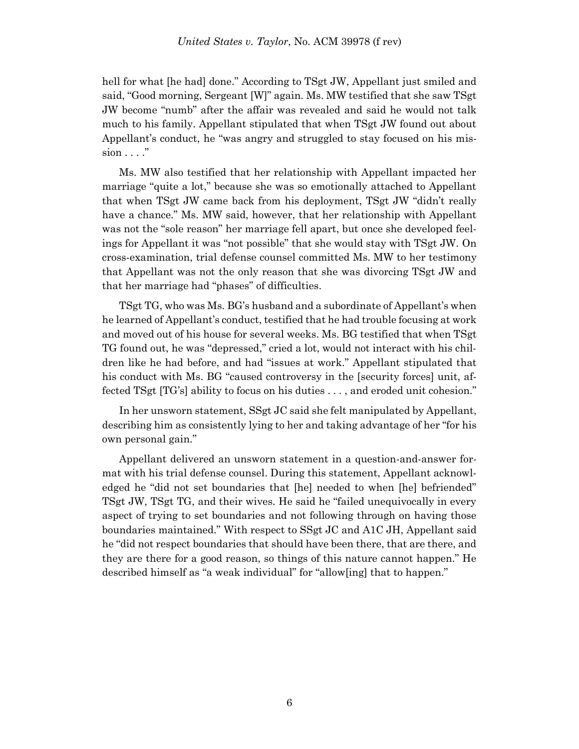hell for what [he had] done." According to TSgt JW, Appellant just smiled and said, "Good morning, Sergeant [W]" again. Ms. MW testified that she saw TSgt JW become "numb" after the affair was revealed and said he would not talk much to his family. Appellant stipulated that when TSgt JW found out about Appellant's conduct, he "was angry and struggled to stay focused on his mis $sion \dots$ "

Ms. MW also testified that her relationship with Appellant impacted her marriage "quite a lot," because she was so emotionally attached to Appellant that when TSgt JW came back from his deployment, TSgt JW "didn't really have a chance." Ms. MW said, however, that her relationship with Appellant was not the "sole reason" her marriage fell apart, but once she developed feelings for Appellant it was "not possible" that she would stay with TSgt JW. On cross-examination, trial defense counsel committed Ms. MW to her testimony that Appellant was not the only reason that she was divorcing TSgt JW and that her marriage had "phases" of difficulties.

TSgt TG, who was Ms. BG's husband and a subordinate of Appellant's when he learned of Appellant's conduct, testified that he had trouble focusing at work and moved out of his house for several weeks. Ms. BG testified that when TSgt TG found out, he was "depressed," cried a lot, would not interact with his children like he had before, and had "issues at work." Appellant stipulated that his conduct with Ms. BG "caused controversy in the [security forces] unit, affected TSgt [TG's] ability to focus on his duties . . . , and eroded unit cohesion."

In her unsworn statement, SSgt JC said she felt manipulated by Appellant, describing him as consistently lying to her and taking advantage of her "for his own personal gain."

Appellant delivered an unsworn statement in a question-and-answer format with his trial defense counsel. During this statement, Appellant acknowledged he "did not set boundaries that [he] needed to when [he] befriended" TSgt JW, TSgt TG, and their wives. He said he "failed unequivocally in every aspect of trying to set boundaries and not following through on having those boundaries maintained." With respect to SSgt JC and A1C JH, Appellant said he "did not respect boundaries that should have been there, that are there, and they are there for a good reason, so things of this nature cannot happen." He described himself as "a weak individual" for "allow[ing] that to happen."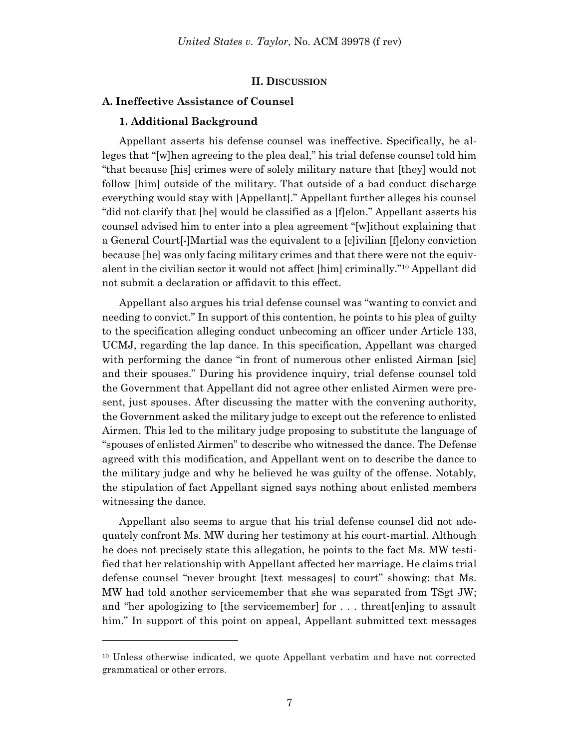#### **II. DISCUSSION**

#### **A. Ineffective Assistance of Counsel**

#### **1. Additional Background**

l

Appellant asserts his defense counsel was ineffective. Specifically, he alleges that "[w]hen agreeing to the plea deal," his trial defense counsel told him "that because [his] crimes were of solely military nature that [they] would not follow [him] outside of the military. That outside of a bad conduct discharge everything would stay with [Appellant]." Appellant further alleges his counsel "did not clarify that [he] would be classified as a [f]elon." Appellant asserts his counsel advised him to enter into a plea agreement "[w]ithout explaining that a General Court[-]Martial was the equivalent to a [c]ivilian [f]elony conviction because [he] was only facing military crimes and that there were not the equivalent in the civilian sector it would not affect [him] criminally."<sup>10</sup> Appellant did not submit a declaration or affidavit to this effect.

Appellant also argues his trial defense counsel was "wanting to convict and needing to convict." In support of this contention, he points to his plea of guilty to the specification alleging conduct unbecoming an officer under Article 133, UCMJ, regarding the lap dance. In this specification, Appellant was charged with performing the dance "in front of numerous other enlisted Airman [sic] and their spouses." During his providence inquiry, trial defense counsel told the Government that Appellant did not agree other enlisted Airmen were present, just spouses. After discussing the matter with the convening authority, the Government asked the military judge to except out the reference to enlisted Airmen. This led to the military judge proposing to substitute the language of "spouses of enlisted Airmen" to describe who witnessed the dance. The Defense agreed with this modification, and Appellant went on to describe the dance to the military judge and why he believed he was guilty of the offense. Notably, the stipulation of fact Appellant signed says nothing about enlisted members witnessing the dance.

Appellant also seems to argue that his trial defense counsel did not adequately confront Ms. MW during her testimony at his court-martial. Although he does not precisely state this allegation, he points to the fact Ms. MW testified that her relationship with Appellant affected her marriage. He claims trial defense counsel "never brought [text messages] to court" showing: that Ms. MW had told another servicemember that she was separated from TSgt JW; and "her apologizing to [the servicemember] for . . . threat[en]ing to assault him." In support of this point on appeal, Appellant submitted text messages

<sup>10</sup> Unless otherwise indicated, we quote Appellant verbatim and have not corrected grammatical or other errors.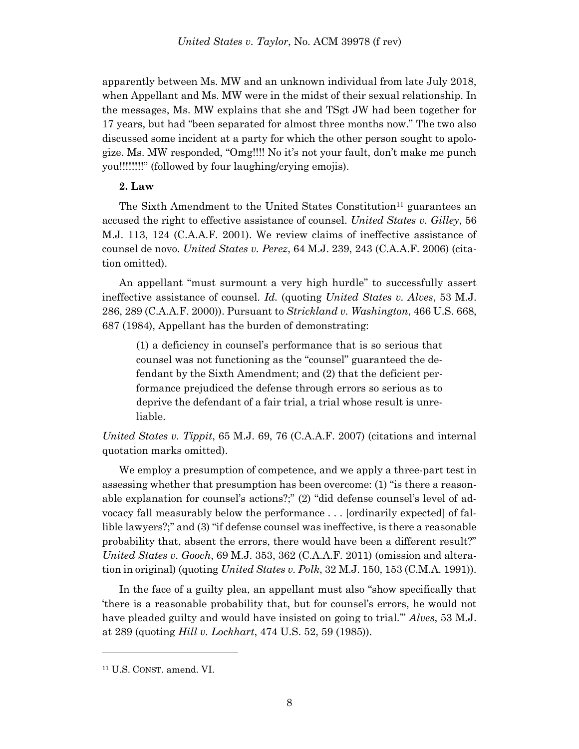apparently between Ms. MW and an unknown individual from late July 2018, when Appellant and Ms. MW were in the midst of their sexual relationship. In the messages, Ms. MW explains that she and TSgt JW had been together for 17 years, but had "been separated for almost three months now." The two also discussed some incident at a party for which the other person sought to apologize. Ms. MW responded, "Omg!!!! No it's not your fault, don't make me punch you!!!!!!!!" (followed by four laughing/crying emojis).

### **2. Law**

The Sixth Amendment to the United States Constitution<sup>11</sup> guarantees an accused the right to effective assistance of counsel. *United States v. Gilley*, 56 M.J. 113, 124 (C.A.A.F. 2001). We review claims of ineffective assistance of counsel de novo. *United States v. Perez*, 64 M.J. 239, 243 (C.A.A.F. 2006) (citation omitted).

An appellant "must surmount a very high hurdle" to successfully assert ineffective assistance of counsel. *Id.* (quoting *United States v. Alves*, 53 M.J. 286, 289 (C.A.A.F. 2000)). Pursuant to *Strickland v. Washington*, 466 U.S. 668, 687 (1984), Appellant has the burden of demonstrating:

(1) a deficiency in counsel's performance that is so serious that counsel was not functioning as the "counsel" guaranteed the defendant by the Sixth Amendment; and (2) that the deficient performance prejudiced the defense through errors so serious as to deprive the defendant of a fair trial, a trial whose result is unreliable.

*United States v. Tippit*, 65 M.J. 69, 76 (C.A.A.F. 2007) (citations and internal quotation marks omitted).

We employ a presumption of competence, and we apply a three-part test in assessing whether that presumption has been overcome: (1) "is there a reasonable explanation for counsel's actions?;" (2) "did defense counsel's level of advocacy fall measurably below the performance . . . [ordinarily expected] of fallible lawyers?;" and (3) "if defense counsel was ineffective, is there a reasonable probability that, absent the errors, there would have been a different result?" *United States v. Gooch*, 69 M.J. 353, 362 (C.A.A.F. 2011) (omission and alteration in original) (quoting *United States v. Polk*, 32 M.J. 150, 153 (C.M.A. 1991)).

In the face of a guilty plea, an appellant must also "show specifically that 'there is a reasonable probability that, but for counsel's errors, he would not have pleaded guilty and would have insisted on going to trial.'" *Alves*, 53 M.J. at 289 (quoting *Hill v. Lockhart*, 474 U.S. 52, 59 (1985)).

<sup>11</sup> U.S. CONST. amend. VI.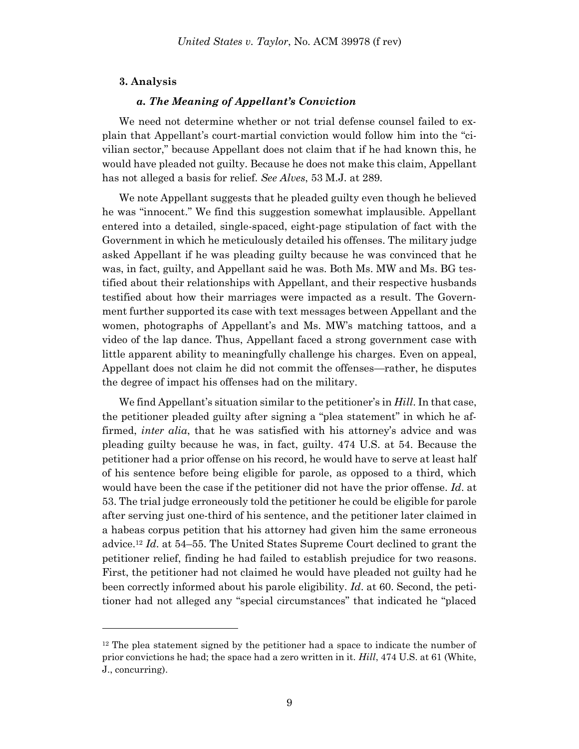#### **3. Analysis**

l

#### *a. The Meaning of Appellant's Conviction*

We need not determine whether or not trial defense counsel failed to explain that Appellant's court-martial conviction would follow him into the "civilian sector," because Appellant does not claim that if he had known this, he would have pleaded not guilty. Because he does not make this claim, Appellant has not alleged a basis for relief. *See Alves*, 53 M.J. at 289.

We note Appellant suggests that he pleaded guilty even though he believed he was "innocent." We find this suggestion somewhat implausible. Appellant entered into a detailed, single-spaced, eight-page stipulation of fact with the Government in which he meticulously detailed his offenses. The military judge asked Appellant if he was pleading guilty because he was convinced that he was, in fact, guilty, and Appellant said he was. Both Ms. MW and Ms. BG testified about their relationships with Appellant, and their respective husbands testified about how their marriages were impacted as a result. The Government further supported its case with text messages between Appellant and the women, photographs of Appellant's and Ms. MW's matching tattoos, and a video of the lap dance. Thus, Appellant faced a strong government case with little apparent ability to meaningfully challenge his charges. Even on appeal, Appellant does not claim he did not commit the offenses—rather, he disputes the degree of impact his offenses had on the military.

We find Appellant's situation similar to the petitioner's in *Hill*. In that case, the petitioner pleaded guilty after signing a "plea statement" in which he affirmed, *inter alia*, that he was satisfied with his attorney's advice and was pleading guilty because he was, in fact, guilty. 474 U.S. at 54. Because the petitioner had a prior offense on his record, he would have to serve at least half of his sentence before being eligible for parole, as opposed to a third, which would have been the case if the petitioner did not have the prior offense. *Id*. at 53. The trial judge erroneously told the petitioner he could be eligible for parole after serving just one-third of his sentence, and the petitioner later claimed in a habeas corpus petition that his attorney had given him the same erroneous advice.<sup>12</sup> *Id*. at 54–55. The United States Supreme Court declined to grant the petitioner relief, finding he had failed to establish prejudice for two reasons. First, the petitioner had not claimed he would have pleaded not guilty had he been correctly informed about his parole eligibility. *Id*. at 60. Second, the petitioner had not alleged any "special circumstances" that indicated he "placed

<sup>12</sup> The plea statement signed by the petitioner had a space to indicate the number of prior convictions he had; the space had a zero written in it. *Hill*, 474 U.S. at 61 (White, J., concurring).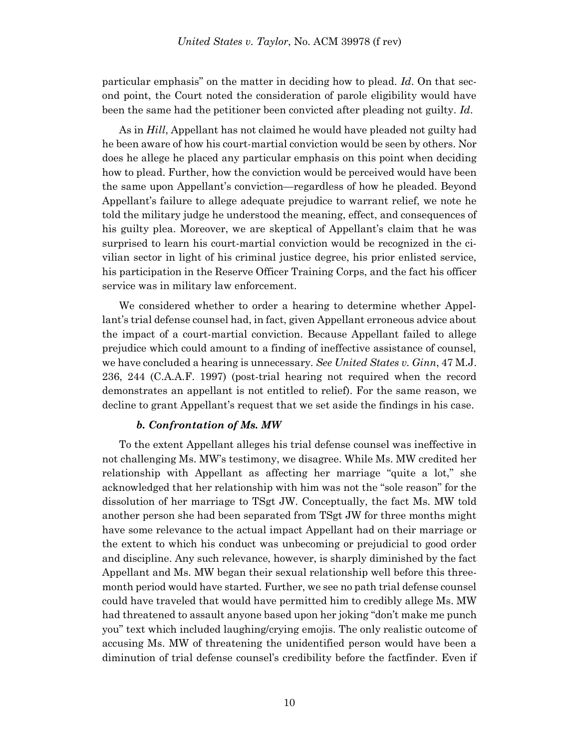particular emphasis" on the matter in deciding how to plead. *Id*. On that second point, the Court noted the consideration of parole eligibility would have been the same had the petitioner been convicted after pleading not guilty. *Id*.

As in *Hill*, Appellant has not claimed he would have pleaded not guilty had he been aware of how his court-martial conviction would be seen by others. Nor does he allege he placed any particular emphasis on this point when deciding how to plead. Further, how the conviction would be perceived would have been the same upon Appellant's conviction—regardless of how he pleaded. Beyond Appellant's failure to allege adequate prejudice to warrant relief, we note he told the military judge he understood the meaning, effect, and consequences of his guilty plea. Moreover, we are skeptical of Appellant's claim that he was surprised to learn his court-martial conviction would be recognized in the civilian sector in light of his criminal justice degree, his prior enlisted service, his participation in the Reserve Officer Training Corps, and the fact his officer service was in military law enforcement.

We considered whether to order a hearing to determine whether Appellant's trial defense counsel had, in fact, given Appellant erroneous advice about the impact of a court-martial conviction. Because Appellant failed to allege prejudice which could amount to a finding of ineffective assistance of counsel, we have concluded a hearing is unnecessary. *See United States v. Ginn*, 47 M.J. 236, 244 (C.A.A.F. 1997) (post-trial hearing not required when the record demonstrates an appellant is not entitled to relief). For the same reason, we decline to grant Appellant's request that we set aside the findings in his case.

### *b. Confrontation of Ms. MW*

To the extent Appellant alleges his trial defense counsel was ineffective in not challenging Ms. MW's testimony, we disagree. While Ms. MW credited her relationship with Appellant as affecting her marriage "quite a lot," she acknowledged that her relationship with him was not the "sole reason" for the dissolution of her marriage to TSgt JW. Conceptually, the fact Ms. MW told another person she had been separated from TSgt JW for three months might have some relevance to the actual impact Appellant had on their marriage or the extent to which his conduct was unbecoming or prejudicial to good order and discipline. Any such relevance, however, is sharply diminished by the fact Appellant and Ms. MW began their sexual relationship well before this threemonth period would have started. Further, we see no path trial defense counsel could have traveled that would have permitted him to credibly allege Ms. MW had threatened to assault anyone based upon her joking "don't make me punch you" text which included laughing/crying emojis. The only realistic outcome of accusing Ms. MW of threatening the unidentified person would have been a diminution of trial defense counsel's credibility before the factfinder. Even if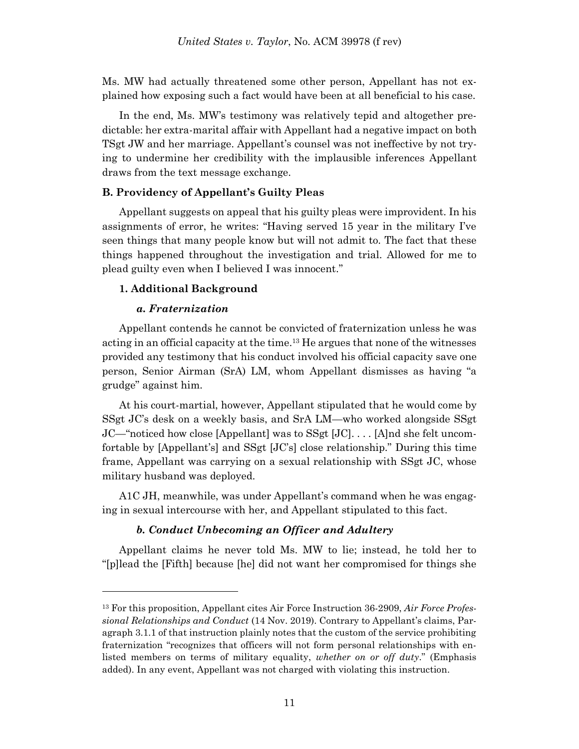Ms. MW had actually threatened some other person, Appellant has not explained how exposing such a fact would have been at all beneficial to his case.

In the end, Ms. MW's testimony was relatively tepid and altogether predictable: her extra-marital affair with Appellant had a negative impact on both TSgt JW and her marriage. Appellant's counsel was not ineffective by not trying to undermine her credibility with the implausible inferences Appellant draws from the text message exchange.

#### **B. Providency of Appellant's Guilty Pleas**

Appellant suggests on appeal that his guilty pleas were improvident. In his assignments of error, he writes: "Having served 15 year in the military I've seen things that many people know but will not admit to. The fact that these things happened throughout the investigation and trial. Allowed for me to plead guilty even when I believed I was innocent."

#### **1. Additional Background**

## *a. Fraternization*

l

Appellant contends he cannot be convicted of fraternization unless he was acting in an official capacity at the time. <sup>13</sup> He argues that none of the witnesses provided any testimony that his conduct involved his official capacity save one person, Senior Airman (SrA) LM, whom Appellant dismisses as having "a grudge" against him.

At his court-martial, however, Appellant stipulated that he would come by SSgt JC's desk on a weekly basis, and SrA LM—who worked alongside SSgt JC—"noticed how close [Appellant] was to SSgt [JC]. . . . [A]nd she felt uncomfortable by [Appellant's] and SSgt [JC's] close relationship." During this time frame, Appellant was carrying on a sexual relationship with SSgt JC, whose military husband was deployed.

A1C JH, meanwhile, was under Appellant's command when he was engaging in sexual intercourse with her, and Appellant stipulated to this fact.

# *b. Conduct Unbecoming an Officer and Adultery*

Appellant claims he never told Ms. MW to lie; instead, he told her to "[p]lead the [Fifth] because [he] did not want her compromised for things she

<sup>13</sup> For this proposition, Appellant cites Air Force Instruction 36-2909, *Air Force Professional Relationships and Conduct* (14 Nov. 2019). Contrary to Appellant's claims, Paragraph 3.1.1 of that instruction plainly notes that the custom of the service prohibiting fraternization "recognizes that officers will not form personal relationships with enlisted members on terms of military equality, *whether on or off duty*." (Emphasis added). In any event, Appellant was not charged with violating this instruction.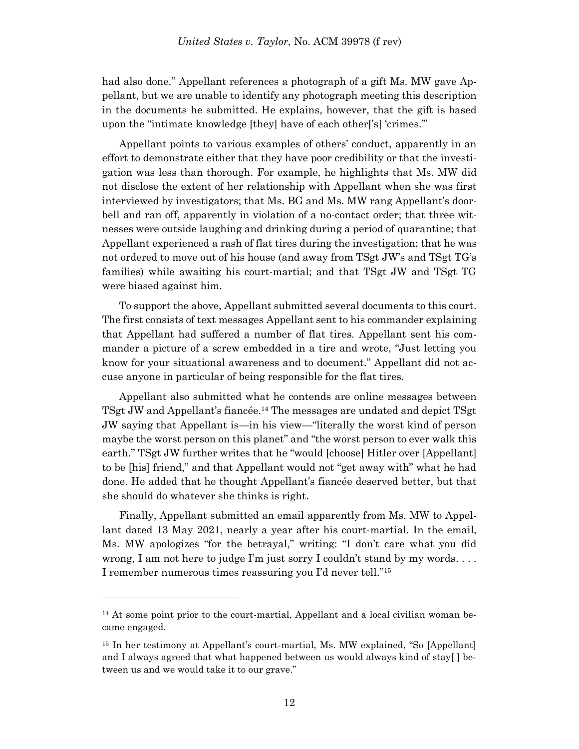had also done." Appellant references a photograph of a gift Ms. MW gave Appellant, but we are unable to identify any photograph meeting this description in the documents he submitted. He explains, however, that the gift is based upon the "intimate knowledge [they] have of each other['s] 'crimes.'"

Appellant points to various examples of others' conduct, apparently in an effort to demonstrate either that they have poor credibility or that the investigation was less than thorough. For example, he highlights that Ms. MW did not disclose the extent of her relationship with Appellant when she was first interviewed by investigators; that Ms. BG and Ms. MW rang Appellant's doorbell and ran off, apparently in violation of a no-contact order; that three witnesses were outside laughing and drinking during a period of quarantine; that Appellant experienced a rash of flat tires during the investigation; that he was not ordered to move out of his house (and away from TSgt JW's and TSgt TG's families) while awaiting his court-martial; and that TSgt JW and TSgt TG were biased against him.

To support the above, Appellant submitted several documents to this court. The first consists of text messages Appellant sent to his commander explaining that Appellant had suffered a number of flat tires. Appellant sent his commander a picture of a screw embedded in a tire and wrote, "Just letting you know for your situational awareness and to document." Appellant did not accuse anyone in particular of being responsible for the flat tires.

Appellant also submitted what he contends are online messages between TSgt JW and Appellant's fiancée. <sup>14</sup> The messages are undated and depict TSgt JW saying that Appellant is—in his view—"literally the worst kind of person maybe the worst person on this planet" and "the worst person to ever walk this earth." TSgt JW further writes that he "would [choose] Hitler over [Appellant] to be [his] friend," and that Appellant would not "get away with" what he had done. He added that he thought Appellant's fiancée deserved better, but that she should do whatever she thinks is right.

Finally, Appellant submitted an email apparently from Ms. MW to Appellant dated 13 May 2021, nearly a year after his court-martial. In the email, Ms. MW apologizes "for the betrayal," writing: "I don't care what you did wrong, I am not here to judge I'm just sorry I couldn't stand by my words... I remember numerous times reassuring you I'd never tell."<sup>15</sup>

<sup>&</sup>lt;sup>14</sup> At some point prior to the court-martial, Appellant and a local civilian woman became engaged.

<sup>15</sup> In her testimony at Appellant's court-martial, Ms. MW explained, "So [Appellant] and I always agreed that what happened between us would always kind of stay[ ] between us and we would take it to our grave."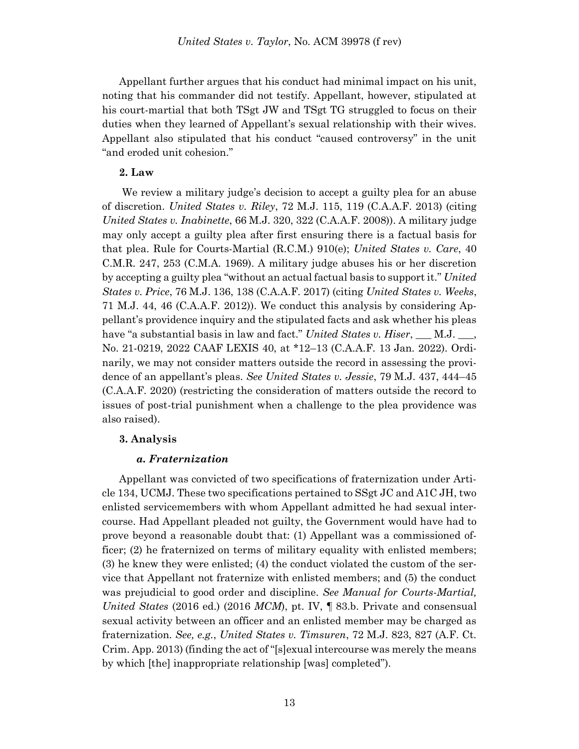Appellant further argues that his conduct had minimal impact on his unit, noting that his commander did not testify. Appellant, however, stipulated at his court-martial that both TSgt JW and TSgt TG struggled to focus on their duties when they learned of Appellant's sexual relationship with their wives. Appellant also stipulated that his conduct "caused controversy" in the unit "and eroded unit cohesion."

# **2. Law**

We review a military judge's decision to accept a guilty plea for an abuse of discretion. *United States v. Riley*, 72 M.J. 115, 119 (C.A.A.F. 2013) (citing *United States v. Inabinette*, 66 M.J. 320, 322 (C.A.A.F. 2008)). A military judge may only accept a guilty plea after first ensuring there is a factual basis for that plea. Rule for Courts-Martial (R.C.M.) 910(e); *United States v. Care*, 40 C.M.R. 247, 253 (C.M.A. 1969). A military judge abuses his or her discretion by accepting a guilty plea "without an actual factual basis to support it." *United States v. Price*, 76 M.J. 136, 138 (C.A.A.F. 2017) (citing *United States v. Weeks*, 71 M.J. 44, 46 (C.A.A.F. 2012)). We conduct this analysis by considering Appellant's providence inquiry and the stipulated facts and ask whether his pleas have "a substantial basis in law and fact." *United States v. Hiser*, \_\_\_ M.J. \_\_\_, No. 21-0219, 2022 CAAF LEXIS 40, at \*12–13 (C.A.A.F. 13 Jan. 2022). Ordinarily, we may not consider matters outside the record in assessing the providence of an appellant's pleas. *See United States v. Jessie*, 79 M.J. 437, 444–45 (C.A.A.F. 2020) (restricting the consideration of matters outside the record to issues of post-trial punishment when a challenge to the plea providence was also raised).

### **3. Analysis**

### *a. Fraternization*

Appellant was convicted of two specifications of fraternization under Article 134, UCMJ. These two specifications pertained to SSgt JC and A1C JH, two enlisted servicemembers with whom Appellant admitted he had sexual intercourse. Had Appellant pleaded not guilty, the Government would have had to prove beyond a reasonable doubt that: (1) Appellant was a commissioned officer; (2) he fraternized on terms of military equality with enlisted members; (3) he knew they were enlisted; (4) the conduct violated the custom of the service that Appellant not fraternize with enlisted members; and (5) the conduct was prejudicial to good order and discipline. *See Manual for Courts-Martial, United States* (2016 ed.) (2016 *MCM*), pt. IV, ¶ 83.b. Private and consensual sexual activity between an officer and an enlisted member may be charged as fraternization. *See, e.g.*, *United States v. Timsuren*, 72 M.J. 823, 827 (A.F. Ct. Crim. App. 2013) (finding the act of "[s]exual intercourse was merely the means by which [the] inappropriate relationship [was] completed").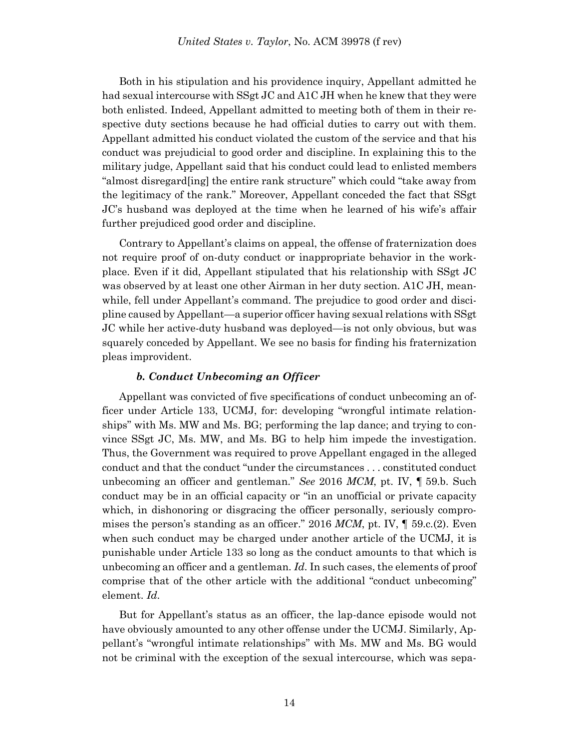Both in his stipulation and his providence inquiry, Appellant admitted he had sexual intercourse with SSgt JC and A1C JH when he knew that they were both enlisted. Indeed, Appellant admitted to meeting both of them in their respective duty sections because he had official duties to carry out with them. Appellant admitted his conduct violated the custom of the service and that his conduct was prejudicial to good order and discipline. In explaining this to the military judge, Appellant said that his conduct could lead to enlisted members "almost disregard[ing] the entire rank structure" which could "take away from the legitimacy of the rank." Moreover, Appellant conceded the fact that SSgt JC's husband was deployed at the time when he learned of his wife's affair further prejudiced good order and discipline.

Contrary to Appellant's claims on appeal, the offense of fraternization does not require proof of on-duty conduct or inappropriate behavior in the workplace. Even if it did, Appellant stipulated that his relationship with SSgt JC was observed by at least one other Airman in her duty section. A1C JH, meanwhile, fell under Appellant's command. The prejudice to good order and discipline caused by Appellant—a superior officer having sexual relations with SSgt JC while her active-duty husband was deployed—is not only obvious, but was squarely conceded by Appellant. We see no basis for finding his fraternization pleas improvident.

#### *b. Conduct Unbecoming an Officer*

Appellant was convicted of five specifications of conduct unbecoming an officer under Article 133, UCMJ, for: developing "wrongful intimate relationships" with Ms. MW and Ms. BG; performing the lap dance; and trying to convince SSgt JC, Ms. MW, and Ms. BG to help him impede the investigation. Thus, the Government was required to prove Appellant engaged in the alleged conduct and that the conduct "under the circumstances . . . constituted conduct unbecoming an officer and gentleman." *See* 2016 *MCM*, pt. IV, ¶ 59.b. Such conduct may be in an official capacity or "in an unofficial or private capacity which, in dishonoring or disgracing the officer personally, seriously compromises the person's standing as an officer." 2016 *MCM*, pt. IV, ¶ 59.c.(2). Even when such conduct may be charged under another article of the UCMJ, it is punishable under Article 133 so long as the conduct amounts to that which is unbecoming an officer and a gentleman. *Id*. In such cases, the elements of proof comprise that of the other article with the additional "conduct unbecoming" element. *Id*.

But for Appellant's status as an officer, the lap-dance episode would not have obviously amounted to any other offense under the UCMJ. Similarly, Appellant's "wrongful intimate relationships" with Ms. MW and Ms. BG would not be criminal with the exception of the sexual intercourse, which was sepa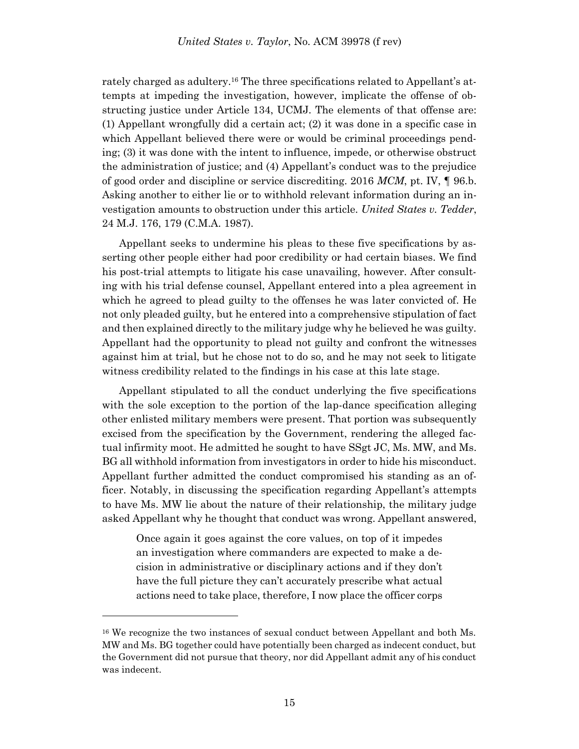rately charged as adultery.<sup>16</sup> The three specifications related to Appellant's attempts at impeding the investigation, however, implicate the offense of obstructing justice under Article 134, UCMJ. The elements of that offense are: (1) Appellant wrongfully did a certain act; (2) it was done in a specific case in which Appellant believed there were or would be criminal proceedings pending; (3) it was done with the intent to influence, impede, or otherwise obstruct the administration of justice; and (4) Appellant's conduct was to the prejudice of good order and discipline or service discrediting. 2016 *MCM*, pt. IV, ¶ 96.b. Asking another to either lie or to withhold relevant information during an investigation amounts to obstruction under this article. *United States v. Tedder*, 24 M.J. 176, 179 (C.M.A. 1987).

Appellant seeks to undermine his pleas to these five specifications by asserting other people either had poor credibility or had certain biases. We find his post-trial attempts to litigate his case unavailing, however. After consulting with his trial defense counsel, Appellant entered into a plea agreement in which he agreed to plead guilty to the offenses he was later convicted of. He not only pleaded guilty, but he entered into a comprehensive stipulation of fact and then explained directly to the military judge why he believed he was guilty. Appellant had the opportunity to plead not guilty and confront the witnesses against him at trial, but he chose not to do so, and he may not seek to litigate witness credibility related to the findings in his case at this late stage.

Appellant stipulated to all the conduct underlying the five specifications with the sole exception to the portion of the lap-dance specification alleging other enlisted military members were present. That portion was subsequently excised from the specification by the Government, rendering the alleged factual infirmity moot. He admitted he sought to have SSgt JC, Ms. MW, and Ms. BG all withhold information from investigators in order to hide his misconduct. Appellant further admitted the conduct compromised his standing as an officer. Notably, in discussing the specification regarding Appellant's attempts to have Ms. MW lie about the nature of their relationship, the military judge asked Appellant why he thought that conduct was wrong. Appellant answered,

Once again it goes against the core values, on top of it impedes an investigation where commanders are expected to make a decision in administrative or disciplinary actions and if they don't have the full picture they can't accurately prescribe what actual actions need to take place, therefore, I now place the officer corps

<sup>16</sup> We recognize the two instances of sexual conduct between Appellant and both Ms. MW and Ms. BG together could have potentially been charged as indecent conduct, but the Government did not pursue that theory, nor did Appellant admit any of his conduct was indecent.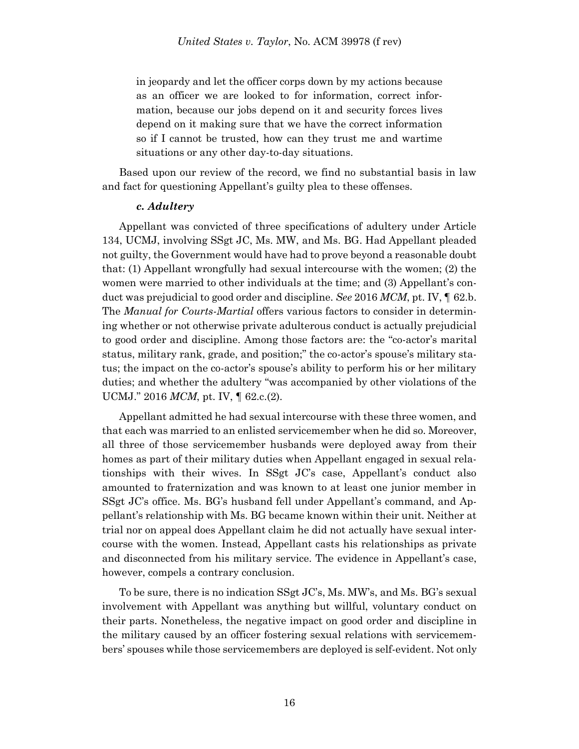in jeopardy and let the officer corps down by my actions because as an officer we are looked to for information, correct information, because our jobs depend on it and security forces lives depend on it making sure that we have the correct information so if I cannot be trusted, how can they trust me and wartime situations or any other day-to-day situations.

Based upon our review of the record, we find no substantial basis in law and fact for questioning Appellant's guilty plea to these offenses.

#### *c. Adultery*

Appellant was convicted of three specifications of adultery under Article 134, UCMJ, involving SSgt JC, Ms. MW, and Ms. BG. Had Appellant pleaded not guilty, the Government would have had to prove beyond a reasonable doubt that: (1) Appellant wrongfully had sexual intercourse with the women; (2) the women were married to other individuals at the time; and (3) Appellant's conduct was prejudicial to good order and discipline. *See* 2016 *MCM*, pt. IV, ¶ 62.b. The *Manual for Courts-Martial* offers various factors to consider in determining whether or not otherwise private adulterous conduct is actually prejudicial to good order and discipline. Among those factors are: the "co-actor's marital status, military rank, grade, and position;" the co-actor's spouse's military status; the impact on the co-actor's spouse's ability to perform his or her military duties; and whether the adultery "was accompanied by other violations of the UCMJ." 2016 *MCM*, pt. IV, ¶ 62.c.(2).

Appellant admitted he had sexual intercourse with these three women, and that each was married to an enlisted servicemember when he did so. Moreover, all three of those servicemember husbands were deployed away from their homes as part of their military duties when Appellant engaged in sexual relationships with their wives. In SSgt JC's case, Appellant's conduct also amounted to fraternization and was known to at least one junior member in SSgt JC's office. Ms. BG's husband fell under Appellant's command, and Appellant's relationship with Ms. BG became known within their unit. Neither at trial nor on appeal does Appellant claim he did not actually have sexual intercourse with the women. Instead, Appellant casts his relationships as private and disconnected from his military service. The evidence in Appellant's case, however, compels a contrary conclusion.

To be sure, there is no indication SSgt JC's, Ms. MW's, and Ms. BG's sexual involvement with Appellant was anything but willful, voluntary conduct on their parts. Nonetheless, the negative impact on good order and discipline in the military caused by an officer fostering sexual relations with servicemembers' spouses while those servicemembers are deployed is self-evident. Not only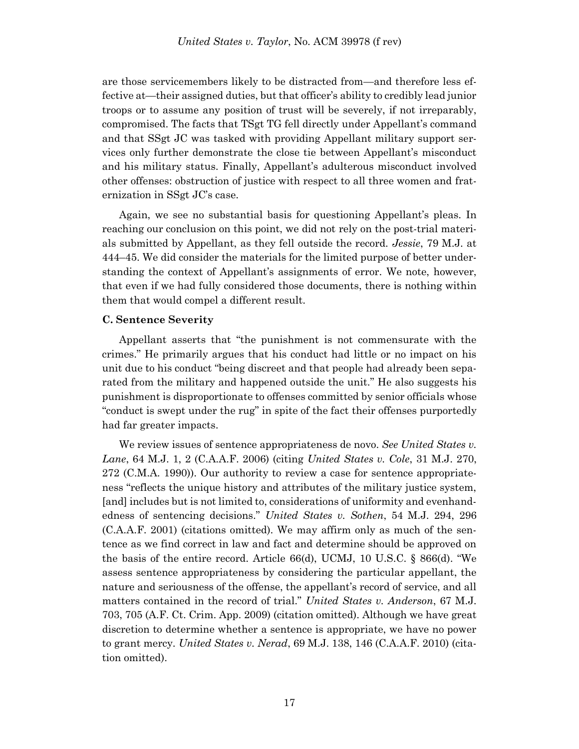are those servicemembers likely to be distracted from—and therefore less effective at—their assigned duties, but that officer's ability to credibly lead junior troops or to assume any position of trust will be severely, if not irreparably, compromised. The facts that TSgt TG fell directly under Appellant's command and that SSgt JC was tasked with providing Appellant military support services only further demonstrate the close tie between Appellant's misconduct and his military status. Finally, Appellant's adulterous misconduct involved other offenses: obstruction of justice with respect to all three women and fraternization in SSgt JC's case.

Again, we see no substantial basis for questioning Appellant's pleas. In reaching our conclusion on this point, we did not rely on the post-trial materials submitted by Appellant, as they fell outside the record. *Jessie*, 79 M.J. at 444–45. We did consider the materials for the limited purpose of better understanding the context of Appellant's assignments of error. We note, however, that even if we had fully considered those documents, there is nothing within them that would compel a different result.

### **C. Sentence Severity**

Appellant asserts that "the punishment is not commensurate with the crimes." He primarily argues that his conduct had little or no impact on his unit due to his conduct "being discreet and that people had already been separated from the military and happened outside the unit." He also suggests his punishment is disproportionate to offenses committed by senior officials whose "conduct is swept under the rug" in spite of the fact their offenses purportedly had far greater impacts.

We review issues of sentence appropriateness de novo. *See United States v. Lane*, 64 M.J. 1, 2 (C.A.A.F. 2006) (citing *United States v. Cole*, 31 M.J. 270, 272 (C.M.A. 1990)). Our authority to review a case for sentence appropriateness "reflects the unique history and attributes of the military justice system, [and] includes but is not limited to, considerations of uniformity and evenhandedness of sentencing decisions." *United States v. Sothen*, 54 M.J. 294, 296 (C.A.A.F. 2001) (citations omitted). We may affirm only as much of the sentence as we find correct in law and fact and determine should be approved on the basis of the entire record. Article 66(d), UCMJ, 10 U.S.C. § 866(d). "We assess sentence appropriateness by considering the particular appellant, the nature and seriousness of the offense, the appellant's record of service, and all matters contained in the record of trial." *United States v. Anderson*, 67 M.J. 703, 705 (A.F. Ct. Crim. App. 2009) (citation omitted). Although we have great discretion to determine whether a sentence is appropriate, we have no power to grant mercy. *United States v. Nerad*, 69 M.J. 138, 146 (C.A.A.F. 2010) (citation omitted).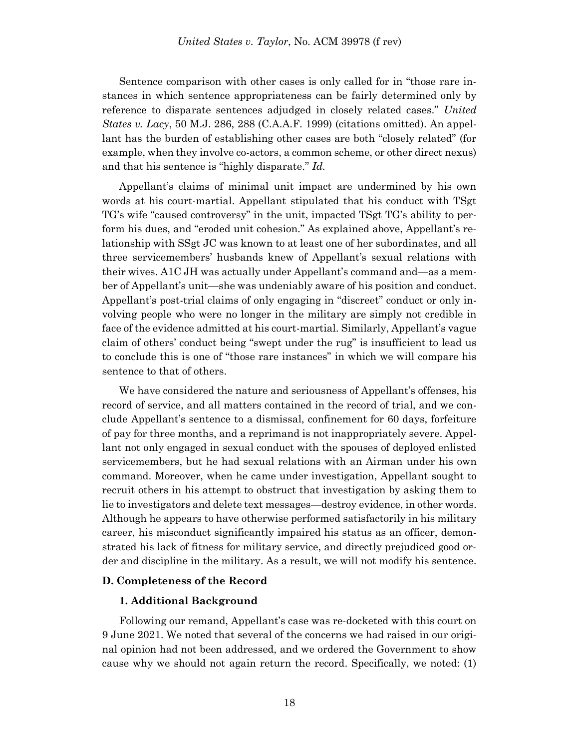Sentence comparison with other cases is only called for in "those rare instances in which sentence appropriateness can be fairly determined only by reference to disparate sentences adjudged in closely related cases." *United States v. Lacy*, 50 M.J. 286, 288 (C.A.A.F. 1999) (citations omitted). An appellant has the burden of establishing other cases are both "closely related" (for example, when they involve co-actors, a common scheme, or other direct nexus) and that his sentence is "highly disparate." *Id.*

Appellant's claims of minimal unit impact are undermined by his own words at his court-martial. Appellant stipulated that his conduct with TSgt TG's wife "caused controversy" in the unit, impacted TSgt TG's ability to perform his dues, and "eroded unit cohesion." As explained above, Appellant's relationship with SSgt JC was known to at least one of her subordinates, and all three servicemembers' husbands knew of Appellant's sexual relations with their wives. A1C JH was actually under Appellant's command and—as a member of Appellant's unit—she was undeniably aware of his position and conduct. Appellant's post-trial claims of only engaging in "discreet" conduct or only involving people who were no longer in the military are simply not credible in face of the evidence admitted at his court-martial. Similarly, Appellant's vague claim of others' conduct being "swept under the rug" is insufficient to lead us to conclude this is one of "those rare instances" in which we will compare his sentence to that of others.

We have considered the nature and seriousness of Appellant's offenses, his record of service, and all matters contained in the record of trial, and we conclude Appellant's sentence to a dismissal, confinement for 60 days, forfeiture of pay for three months, and a reprimand is not inappropriately severe. Appellant not only engaged in sexual conduct with the spouses of deployed enlisted servicemembers, but he had sexual relations with an Airman under his own command. Moreover, when he came under investigation, Appellant sought to recruit others in his attempt to obstruct that investigation by asking them to lie to investigators and delete text messages—destroy evidence, in other words. Although he appears to have otherwise performed satisfactorily in his military career, his misconduct significantly impaired his status as an officer, demonstrated his lack of fitness for military service, and directly prejudiced good order and discipline in the military. As a result, we will not modify his sentence.

#### **D. Completeness of the Record**

#### **1. Additional Background**

Following our remand, Appellant's case was re-docketed with this court on 9 June 2021. We noted that several of the concerns we had raised in our original opinion had not been addressed, and we ordered the Government to show cause why we should not again return the record. Specifically, we noted: (1)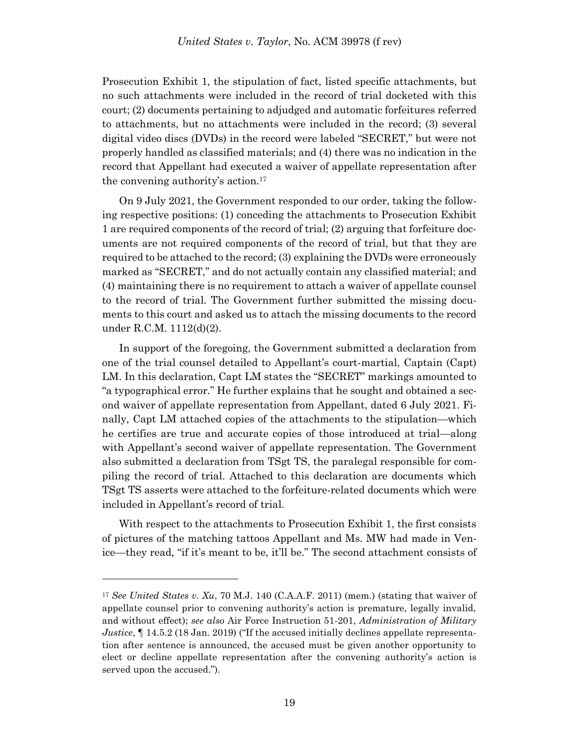Prosecution Exhibit 1, the stipulation of fact, listed specific attachments, but no such attachments were included in the record of trial docketed with this court; (2) documents pertaining to adjudged and automatic forfeitures referred to attachments, but no attachments were included in the record; (3) several digital video discs (DVDs) in the record were labeled "SECRET," but were not properly handled as classified materials; and (4) there was no indication in the record that Appellant had executed a waiver of appellate representation after the convening authority's action.<sup>17</sup>

On 9 July 2021, the Government responded to our order, taking the following respective positions: (1) conceding the attachments to Prosecution Exhibit 1 are required components of the record of trial; (2) arguing that forfeiture documents are not required components of the record of trial, but that they are required to be attached to the record; (3) explaining the DVDs were erroneously marked as "SECRET," and do not actually contain any classified material; and (4) maintaining there is no requirement to attach a waiver of appellate counsel to the record of trial. The Government further submitted the missing documents to this court and asked us to attach the missing documents to the record under R.C.M. 1112(d)(2).

In support of the foregoing, the Government submitted a declaration from one of the trial counsel detailed to Appellant's court-martial, Captain (Capt) LM. In this declaration, Capt LM states the "SECRET" markings amounted to "a typographical error." He further explains that he sought and obtained a second waiver of appellate representation from Appellant, dated 6 July 2021. Finally, Capt LM attached copies of the attachments to the stipulation—which he certifies are true and accurate copies of those introduced at trial—along with Appellant's second waiver of appellate representation. The Government also submitted a declaration from TSgt TS, the paralegal responsible for compiling the record of trial. Attached to this declaration are documents which TSgt TS asserts were attached to the forfeiture-related documents which were included in Appellant's record of trial.

With respect to the attachments to Prosecution Exhibit 1, the first consists of pictures of the matching tattoos Appellant and Ms. MW had made in Venice—they read, "if it's meant to be, it'll be." The second attachment consists of

<sup>17</sup> *See United States v. Xu*, 70 M.J. 140 (C.A.A.F. 2011) (mem.) (stating that waiver of appellate counsel prior to convening authority's action is premature, legally invalid, and without effect); *see also* Air Force Instruction 51-201, *Administration of Military Justice*, ¶ 14.5.2 (18 Jan. 2019) ("If the accused initially declines appellate representation after sentence is announced, the accused must be given another opportunity to elect or decline appellate representation after the convening authority's action is served upon the accused.").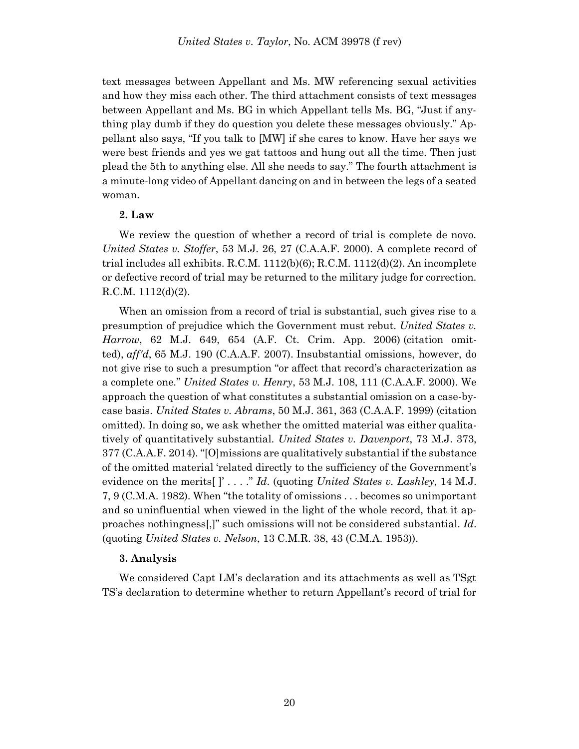text messages between Appellant and Ms. MW referencing sexual activities and how they miss each other. The third attachment consists of text messages between Appellant and Ms. BG in which Appellant tells Ms. BG, "Just if anything play dumb if they do question you delete these messages obviously." Appellant also says, "If you talk to [MW] if she cares to know. Have her says we were best friends and yes we gat tattoos and hung out all the time. Then just plead the 5th to anything else. All she needs to say." The fourth attachment is a minute-long video of Appellant dancing on and in between the legs of a seated woman.

### **2. Law**

We review the question of whether a record of trial is complete de novo. *United States v. Stoffer*, 53 M.J. 26, 27 (C.A.A.F. 2000). A complete record of trial includes all exhibits. R.C.M.  $1112(b)(6)$ ; R.C.M.  $1112(d)(2)$ . An incomplete or defective record of trial may be returned to the military judge for correction. R.C.M. 1112(d)(2).

When an omission from a record of trial is substantial, such gives rise to a presumption of prejudice which the Government must rebut. *United States v. Harrow*, 62 M.J. 649, 654 (A.F. Ct. Crim. App. 2006) (citation omitted), *aff'd*, 65 M.J. 190 (C.A.A.F. 2007). Insubstantial omissions, however, do not give rise to such a presumption "or affect that record's characterization as a complete one." *United States v. Henry*, 53 M.J. 108, 111 (C.A.A.F. 2000). We approach the question of what constitutes a substantial omission on a case-bycase basis. *United States v. Abrams*, 50 M.J. 361, 363 (C.A.A.F. 1999) (citation omitted). In doing so, we ask whether the omitted material was either qualitatively of quantitatively substantial. *United States v. Davenport*, 73 M.J. 373, 377 (C.A.A.F. 2014). "[O]missions are qualitatively substantial if the substance of the omitted material 'related directly to the sufficiency of the Government's evidence on the merits[ ]' . . . ." *Id*. (quoting *United States v. Lashley*, 14 M.J. 7, 9 (C.M.A. 1982). When "the totality of omissions . . . becomes so unimportant and so uninfluential when viewed in the light of the whole record, that it approaches nothingness[,]" such omissions will not be considered substantial. *Id*. (quoting *United States v. Nelson*, 13 C.M.R. 38, 43 (C.M.A. 1953)).

### **3. Analysis**

We considered Capt LM's declaration and its attachments as well as TSgt TS's declaration to determine whether to return Appellant's record of trial for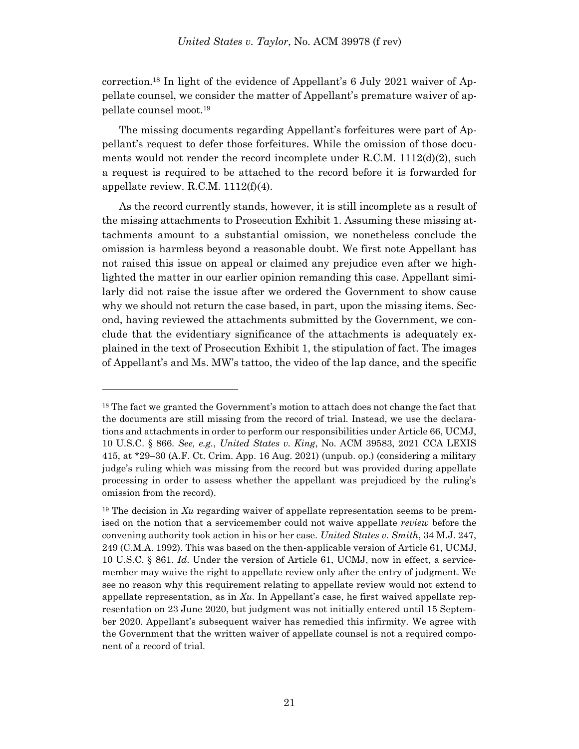correction.<sup>18</sup> In light of the evidence of Appellant's 6 July 2021 waiver of Appellate counsel, we consider the matter of Appellant's premature waiver of appellate counsel moot.<sup>19</sup>

The missing documents regarding Appellant's forfeitures were part of Appellant's request to defer those forfeitures. While the omission of those documents would not render the record incomplete under R.C.M. 1112(d)(2), such a request is required to be attached to the record before it is forwarded for appellate review. R.C.M. 1112(f)(4).

As the record currently stands, however, it is still incomplete as a result of the missing attachments to Prosecution Exhibit 1. Assuming these missing attachments amount to a substantial omission, we nonetheless conclude the omission is harmless beyond a reasonable doubt. We first note Appellant has not raised this issue on appeal or claimed any prejudice even after we highlighted the matter in our earlier opinion remanding this case. Appellant similarly did not raise the issue after we ordered the Government to show cause why we should not return the case based, in part, upon the missing items. Second, having reviewed the attachments submitted by the Government, we conclude that the evidentiary significance of the attachments is adequately explained in the text of Prosecution Exhibit 1, the stipulation of fact. The images of Appellant's and Ms. MW's tattoo, the video of the lap dance, and the specific

<sup>&</sup>lt;sup>18</sup> The fact we granted the Government's motion to attach does not change the fact that the documents are still missing from the record of trial. Instead, we use the declarations and attachments in order to perform our responsibilities under Article 66, UCMJ, 10 U.S.C. § 866. *See, e.g.*, *United States v. King*, No. ACM 39583, 2021 CCA LEXIS 415, at \*29–30 (A.F. Ct. Crim. App. 16 Aug. 2021) (unpub. op.) (considering a military judge's ruling which was missing from the record but was provided during appellate processing in order to assess whether the appellant was prejudiced by the ruling's omission from the record).

<sup>19</sup> The decision in *Xu* regarding waiver of appellate representation seems to be premised on the notion that a servicemember could not waive appellate *review* before the convening authority took action in his or her case. *United States v. Smith*, 34 M.J. 247, 249 (C.M.A. 1992). This was based on the then-applicable version of Article 61, UCMJ, 10 U.S.C. § 861. *Id*. Under the version of Article 61, UCMJ, now in effect, a servicemember may waive the right to appellate review only after the entry of judgment. We see no reason why this requirement relating to appellate review would not extend to appellate representation, as in *Xu*. In Appellant's case, he first waived appellate representation on 23 June 2020, but judgment was not initially entered until 15 September 2020. Appellant's subsequent waiver has remedied this infirmity. We agree with the Government that the written waiver of appellate counsel is not a required component of a record of trial.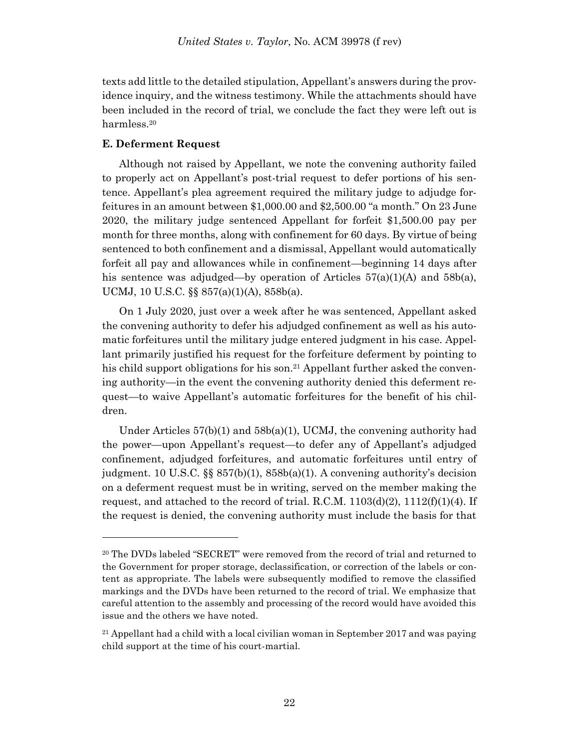texts add little to the detailed stipulation, Appellant's answers during the providence inquiry, and the witness testimony. While the attachments should have been included in the record of trial, we conclude the fact they were left out is harmless.<sup>20</sup>

# **E. Deferment Request**

l

Although not raised by Appellant, we note the convening authority failed to properly act on Appellant's post-trial request to defer portions of his sentence. Appellant's plea agreement required the military judge to adjudge forfeitures in an amount between \$1,000.00 and \$2,500.00 "a month." On 23 June 2020, the military judge sentenced Appellant for forfeit \$1,500.00 pay per month for three months, along with confinement for 60 days. By virtue of being sentenced to both confinement and a dismissal, Appellant would automatically forfeit all pay and allowances while in confinement—beginning 14 days after his sentence was adjudged—by operation of Articles  $57(a)(1)(A)$  and  $58b(a)$ , UCMJ, 10 U.S.C. §§ 857(a)(1)(A), 858b(a).

On 1 July 2020, just over a week after he was sentenced, Appellant asked the convening authority to defer his adjudged confinement as well as his automatic forfeitures until the military judge entered judgment in his case. Appellant primarily justified his request for the forfeiture deferment by pointing to his child support obligations for his son.<sup>21</sup> Appellant further asked the convening authority—in the event the convening authority denied this deferment request—to waive Appellant's automatic forfeitures for the benefit of his children.

Under Articles  $57(b)(1)$  and  $58b(a)(1)$ , UCMJ, the convening authority had the power—upon Appellant's request—to defer any of Appellant's adjudged confinement, adjudged forfeitures, and automatic forfeitures until entry of judgment. 10 U.S.C. §§ 857(b)(1), 858b(a)(1). A convening authority's decision on a deferment request must be in writing, served on the member making the request, and attached to the record of trial. R.C.M.  $1103(d)(2)$ ,  $1112(f)(1)(4)$ . If the request is denied, the convening authority must include the basis for that

<sup>20</sup> The DVDs labeled "SECRET" were removed from the record of trial and returned to the Government for proper storage, declassification, or correction of the labels or content as appropriate. The labels were subsequently modified to remove the classified markings and the DVDs have been returned to the record of trial. We emphasize that careful attention to the assembly and processing of the record would have avoided this issue and the others we have noted.

 $21$  Appellant had a child with a local civilian woman in September 2017 and was paying child support at the time of his court-martial.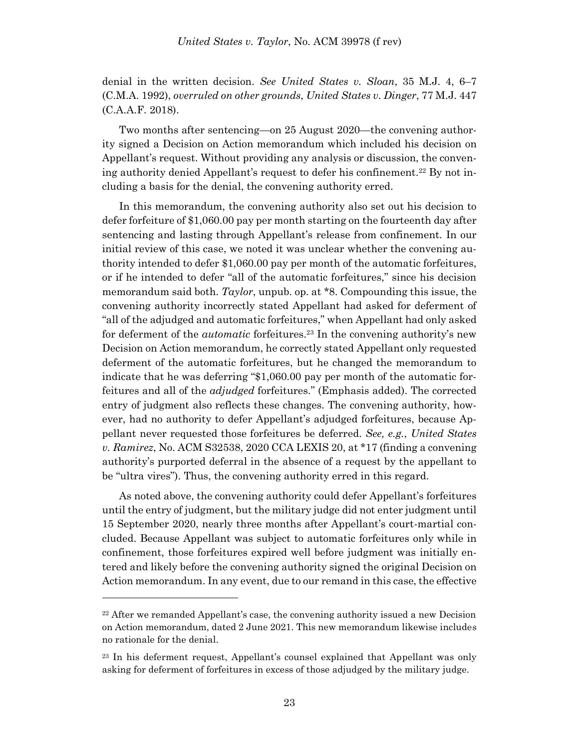denial in the written decision. *See United States v. Sloan*, 35 M.J. 4, 6–7 (C.M.A. 1992), *overruled on other grounds*, *United States v. Dinger*, 77 M.J. 447 (C.A.A.F. 2018).

Two months after sentencing—on 25 August 2020—the convening authority signed a Decision on Action memorandum which included his decision on Appellant's request. Without providing any analysis or discussion, the convening authority denied Appellant's request to defer his confinement.<sup>22</sup> By not including a basis for the denial, the convening authority erred.

In this memorandum, the convening authority also set out his decision to defer forfeiture of \$1,060.00 pay per month starting on the fourteenth day after sentencing and lasting through Appellant's release from confinement. In our initial review of this case, we noted it was unclear whether the convening authority intended to defer \$1,060.00 pay per month of the automatic forfeitures, or if he intended to defer "all of the automatic forfeitures," since his decision memorandum said both. *Taylor*, unpub. op. at \*8. Compounding this issue, the convening authority incorrectly stated Appellant had asked for deferment of "all of the adjudged and automatic forfeitures," when Appellant had only asked for deferment of the *automatic* forfeitures.<sup>23</sup> In the convening authority's new Decision on Action memorandum, he correctly stated Appellant only requested deferment of the automatic forfeitures, but he changed the memorandum to indicate that he was deferring "\$1,060.00 pay per month of the automatic forfeitures and all of the *adjudged* forfeitures." (Emphasis added). The corrected entry of judgment also reflects these changes. The convening authority, however, had no authority to defer Appellant's adjudged forfeitures, because Appellant never requested those forfeitures be deferred. *See, e.g.*, *United States v. Ramirez*, No. ACM S32538, 2020 CCA LEXIS 20, at \*17 (finding a convening authority's purported deferral in the absence of a request by the appellant to be "ultra vires"). Thus, the convening authority erred in this regard.

As noted above, the convening authority could defer Appellant's forfeitures until the entry of judgment, but the military judge did not enter judgment until 15 September 2020, nearly three months after Appellant's court-martial concluded. Because Appellant was subject to automatic forfeitures only while in confinement, those forfeitures expired well before judgment was initially entered and likely before the convening authority signed the original Decision on Action memorandum. In any event, due to our remand in this case, the effective

 $22$  After we remanded Appellant's case, the convening authority issued a new Decision on Action memorandum, dated 2 June 2021. This new memorandum likewise includes no rationale for the denial.

<sup>23</sup> In his deferment request, Appellant's counsel explained that Appellant was only asking for deferment of forfeitures in excess of those adjudged by the military judge.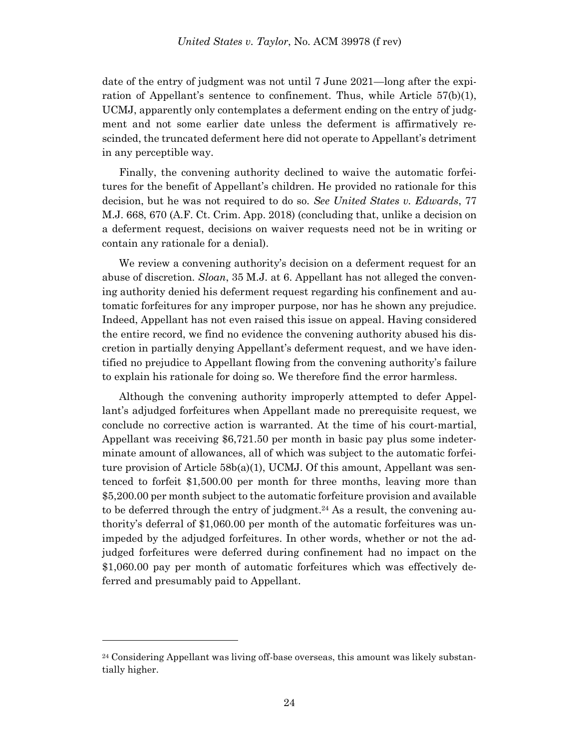date of the entry of judgment was not until 7 June 2021—long after the expiration of Appellant's sentence to confinement. Thus, while Article 57(b)(1), UCMJ, apparently only contemplates a deferment ending on the entry of judgment and not some earlier date unless the deferment is affirmatively rescinded, the truncated deferment here did not operate to Appellant's detriment in any perceptible way.

Finally, the convening authority declined to waive the automatic forfeitures for the benefit of Appellant's children. He provided no rationale for this decision, but he was not required to do so. *See United States v. Edwards*, 77 M.J. 668, 670 (A.F. Ct. Crim. App. 2018) (concluding that, unlike a decision on a deferment request, decisions on waiver requests need not be in writing or contain any rationale for a denial).

We review a convening authority's decision on a deferment request for an abuse of discretion. *Sloan*, 35 M.J. at 6. Appellant has not alleged the convening authority denied his deferment request regarding his confinement and automatic forfeitures for any improper purpose, nor has he shown any prejudice. Indeed, Appellant has not even raised this issue on appeal. Having considered the entire record, we find no evidence the convening authority abused his discretion in partially denying Appellant's deferment request, and we have identified no prejudice to Appellant flowing from the convening authority's failure to explain his rationale for doing so. We therefore find the error harmless.

Although the convening authority improperly attempted to defer Appellant's adjudged forfeitures when Appellant made no prerequisite request, we conclude no corrective action is warranted. At the time of his court-martial, Appellant was receiving \$6,721.50 per month in basic pay plus some indeterminate amount of allowances, all of which was subject to the automatic forfeiture provision of Article 58b(a)(1), UCMJ. Of this amount, Appellant was sentenced to forfeit \$1,500.00 per month for three months, leaving more than \$5,200.00 per month subject to the automatic forfeiture provision and available to be deferred through the entry of judgment. <sup>24</sup> As a result, the convening authority's deferral of \$1,060.00 per month of the automatic forfeitures was unimpeded by the adjudged forfeitures. In other words, whether or not the adjudged forfeitures were deferred during confinement had no impact on the \$1,060.00 pay per month of automatic forfeitures which was effectively deferred and presumably paid to Appellant.

 $24$  Considering Appellant was living off-base overseas, this amount was likely substantially higher.